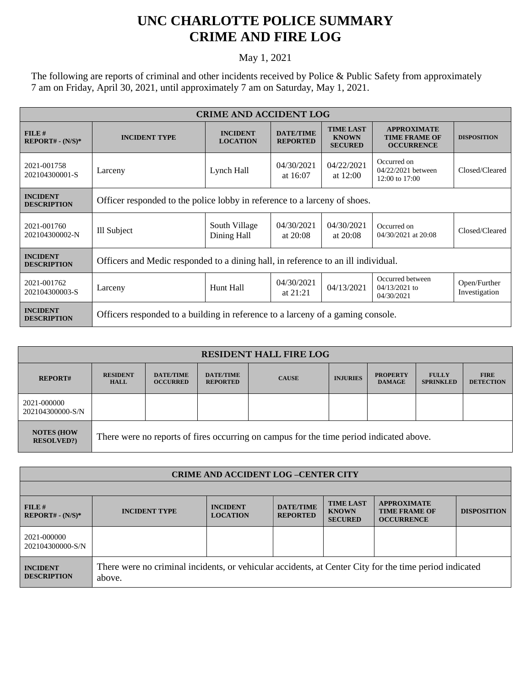## **UNC CHARLOTTE POLICE SUMMARY CRIME AND FIRE LOG**

## May 1, 2021

The following are reports of criminal and other incidents received by Police & Public Safety from approximately 7 am on Friday, April 30, 2021, until approximately 7 am on Saturday, May 1, 2021.

| <b>CRIME AND ACCIDENT LOG</b>         |                                                                                   |                                    |                                     |                                                    |                                                                 |                               |  |  |
|---------------------------------------|-----------------------------------------------------------------------------------|------------------------------------|-------------------------------------|----------------------------------------------------|-----------------------------------------------------------------|-------------------------------|--|--|
| FILE#<br>$REPORT# - (N/S)*$           | <b>INCIDENT TYPE</b>                                                              | <b>INCIDENT</b><br><b>LOCATION</b> | <b>DATE/TIME</b><br><b>REPORTED</b> | <b>TIME LAST</b><br><b>KNOWN</b><br><b>SECURED</b> | <b>APPROXIMATE</b><br><b>TIME FRAME OF</b><br><b>OCCURRENCE</b> | <b>DISPOSITION</b>            |  |  |
| 2021-001758<br>202104300001-S         | Larceny                                                                           | Lynch Hall                         | 04/30/2021<br>at 16:07              | 04/22/2021<br>at $12:00$                           | Occurred on<br>04/22/2021 between<br>12:00 to 17:00             | Closed/Cleared                |  |  |
| <b>INCIDENT</b><br><b>DESCRIPTION</b> | Officer responded to the police lobby in reference to a larceny of shoes.         |                                    |                                     |                                                    |                                                                 |                               |  |  |
| 2021-001760<br>202104300002-N         | Ill Subject                                                                       | South Village<br>Dining Hall       | 04/30/2021<br>at $20:08$            | 04/30/2021<br>at $20:08$                           | Occurred on<br>04/30/2021 at 20:08                              | Closed/Cleared                |  |  |
| <b>INCIDENT</b><br><b>DESCRIPTION</b> | Officers and Medic responded to a dining hall, in reference to an ill individual. |                                    |                                     |                                                    |                                                                 |                               |  |  |
| 2021-001762<br>202104300003-S         | Larceny                                                                           | Hunt Hall                          | 04/30/2021<br>at $21:21$            | 04/13/2021                                         | Occurred between<br>$04/13/2021$ to<br>04/30/2021               | Open/Further<br>Investigation |  |  |
| <b>INCIDENT</b><br><b>DESCRIPTION</b> | Officers responded to a building in reference to a larceny of a gaming console.   |                                    |                                     |                                                    |                                                                 |                               |  |  |

| <b>RESIDENT HALL FIRE LOG</b>          |                                                                                         |                                     |                                     |              |                 |                                  |                                  |                                 |  |
|----------------------------------------|-----------------------------------------------------------------------------------------|-------------------------------------|-------------------------------------|--------------|-----------------|----------------------------------|----------------------------------|---------------------------------|--|
| <b>REPORT#</b>                         | <b>RESIDENT</b><br><b>HALL</b>                                                          | <b>DATE/TIME</b><br><b>OCCURRED</b> | <b>DATE/TIME</b><br><b>REPORTED</b> | <b>CAUSE</b> | <b>INJURIES</b> | <b>PROPERTY</b><br><b>DAMAGE</b> | <b>FULLY</b><br><b>SPRINKLED</b> | <b>FIRE</b><br><b>DETECTION</b> |  |
| 2021-000000<br>202104300000-S/N        |                                                                                         |                                     |                                     |              |                 |                                  |                                  |                                 |  |
| <b>NOTES (HOW</b><br><b>RESOLVED?)</b> | There were no reports of fires occurring on campus for the time period indicated above. |                                     |                                     |              |                 |                                  |                                  |                                 |  |

| <b>CRIME AND ACCIDENT LOG-CENTER CITY</b> |                                                                                                                  |                                    |                                     |                                                    |                                                                 |                    |  |
|-------------------------------------------|------------------------------------------------------------------------------------------------------------------|------------------------------------|-------------------------------------|----------------------------------------------------|-----------------------------------------------------------------|--------------------|--|
|                                           |                                                                                                                  |                                    |                                     |                                                    |                                                                 |                    |  |
| $FILE$ #<br>$REPORT# - (N/S)*$            | <b>INCIDENT TYPE</b>                                                                                             | <b>INCIDENT</b><br><b>LOCATION</b> | <b>DATE/TIME</b><br><b>REPORTED</b> | <b>TIME LAST</b><br><b>KNOWN</b><br><b>SECURED</b> | <b>APPROXIMATE</b><br><b>TIME FRAME OF</b><br><b>OCCURRENCE</b> | <b>DISPOSITION</b> |  |
| 2021-000000<br>202104300000-S/N           |                                                                                                                  |                                    |                                     |                                                    |                                                                 |                    |  |
| <b>INCIDENT</b><br><b>DESCRIPTION</b>     | There were no criminal incidents, or vehicular accidents, at Center City for the time period indicated<br>above. |                                    |                                     |                                                    |                                                                 |                    |  |